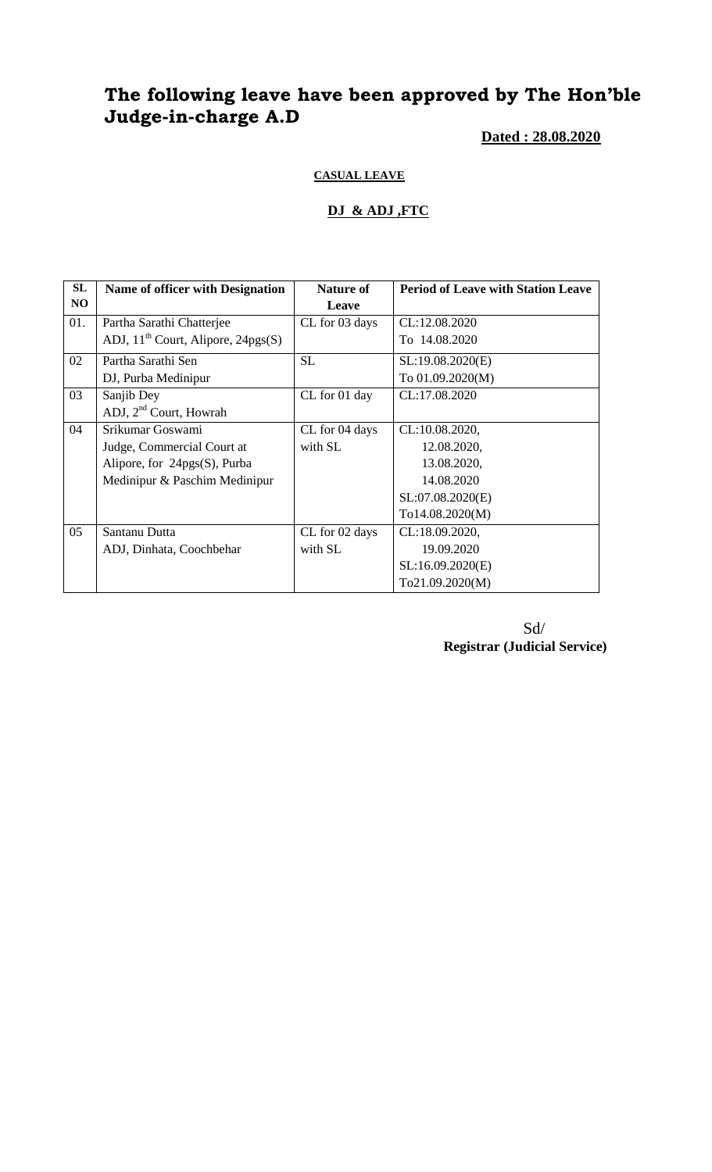# **The following leave have been approved by The Hon'ble Judge-in-charge A.D**

**Dated : 28.08.2020**

#### **CASUAL LEAVE**

#### **DJ & ADJ ,FTC**

| SL  | <b>Name of officer with Designation</b> | <b>Nature of</b> | <b>Period of Leave with Station Leave</b> |
|-----|-----------------------------------------|------------------|-------------------------------------------|
| NO. |                                         | Leave            |                                           |
| 01. | Partha Sarathi Chatterjee               | CL for 03 days   | CL:12.08.2020                             |
|     | ADJ, $11^{th}$ Court, Alipore, 24pgs(S) |                  | To 14.08.2020                             |
| 02  | Partha Sarathi Sen                      | <b>SL</b>        | SL:19.08.2020(E)                          |
|     | DJ, Purba Medinipur                     |                  | To 01.09.2020(M)                          |
| 03  | Sanjib Dey                              | CL for 01 day    | CL:17.08.2020                             |
|     | ADJ, 2 <sup>nd</sup> Court, Howrah      |                  |                                           |
| 04  | Srikumar Goswami                        | CL for 04 days   | CL:10.08.2020,                            |
|     | Judge, Commercial Court at              | with SL          | 12.08.2020,                               |
|     | Alipore, for $24pgs(S)$ , Purba         |                  | 13.08.2020,                               |
|     | Medinipur & Paschim Medinipur           |                  | 14.08.2020                                |
|     |                                         |                  | SL:07.08.2020(E)                          |
|     |                                         |                  | To14.08.2020(M)                           |
| 05  | Santanu Dutta                           | CL for 02 days   | CL:18.09.2020,                            |
|     | ADJ, Dinhata, Coochbehar                | with SL          | 19.09.2020                                |
|     |                                         |                  | SL:16.09.2020(E)                          |
|     |                                         |                  | To21.09.2020(M)                           |

Sd/ **Registrar (Judicial Service)**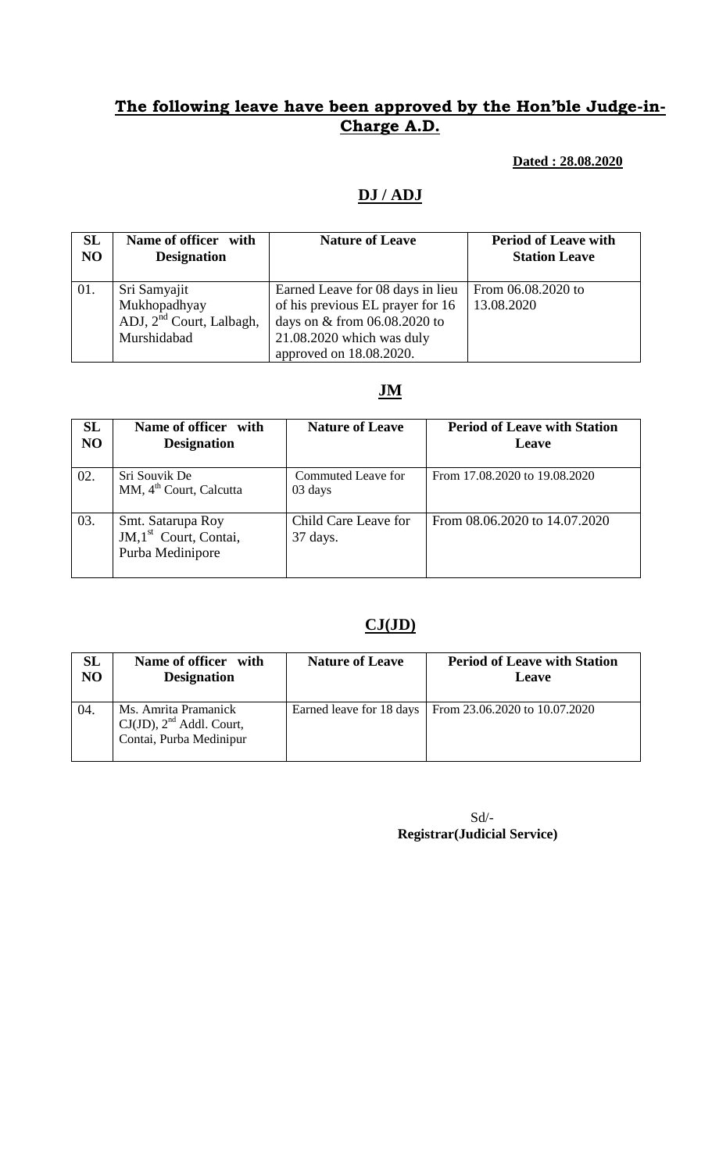### **The following leave have been approved by the Hon'ble Judge-in-Charge A.D.**

### **Dated : 28.08.2020**

#### **DJ / ADJ**

| SL             | Name of officer with                                                                | <b>Nature of Leave</b>                                                                                                                                       | <b>Period of Leave with</b>      |
|----------------|-------------------------------------------------------------------------------------|--------------------------------------------------------------------------------------------------------------------------------------------------------------|----------------------------------|
| N <sub>O</sub> | <b>Designation</b>                                                                  |                                                                                                                                                              | <b>Station Leave</b>             |
| 01.            | Sri Samyajit<br>Mukhopadhyay<br>ADJ, 2 <sup>nd</sup> Court, Lalbagh,<br>Murshidabad | Earned Leave for 08 days in lieu<br>of his previous EL prayer for 16<br>days on & from 06.08.2020 to<br>21.08.2020 which was duly<br>approved on 18.08.2020. | From 06.08.2020 to<br>13.08.2020 |

#### **JM**

| SL<br>N <sub>O</sub> | Name of officer with<br><b>Designation</b>                                 | <b>Nature of Leave</b>                       | <b>Period of Leave with Station</b><br>Leave |
|----------------------|----------------------------------------------------------------------------|----------------------------------------------|----------------------------------------------|
| 02.                  | Sri Souvik De<br>MM, 4 <sup>th</sup> Court, Calcutta                       | Commuted Leave for<br>03 days                | From 17.08.2020 to 19.08.2020                |
| 03.                  | Smt. Satarupa Roy<br>JM,1 <sup>st</sup> Court, Contai,<br>Purba Medinipore | Child Care Leave for<br>$37 \mathrm{days}$ . | From 08.06.2020 to 14.07.2020                |

#### **CJ(JD)**

| <b>SL</b>      | Name of officer with                                                             | <b>Nature of Leave</b> | <b>Period of Leave with Station</b>                      |
|----------------|----------------------------------------------------------------------------------|------------------------|----------------------------------------------------------|
| N <sub>O</sub> | <b>Designation</b>                                                               |                        | Leave                                                    |
| 04.            | Ms. Amrita Pramanick<br>$CJ(JD)$ , $2nd$ Addl. Court,<br>Contai, Purba Medinipur |                        | Earned leave for 18 days   From 23.06.2020 to 10.07.2020 |

 Sd/- **Registrar(Judicial Service)**